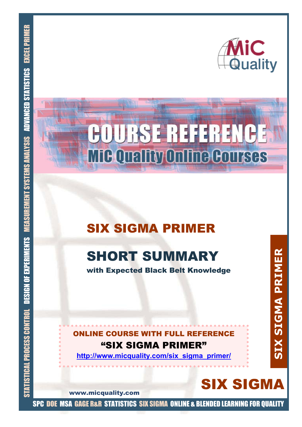

**SIX SIGMA PRIME**

SIX SIGMA

**R**

# DURSE REFERENCE **MiC Quality Online Courses**

### SIX SIGMA PRIMER

### SHORT SUMMARY

with Expected Black Belt Knowledge

ONLINE COURSE WITH FULL REFERENCE "SIX SIGMA PRIMER"

**http://www.micquality.com/six\_sigma\_primer/**

www.micquality.com

1 SPC DOE MSA GAGE R&R STATISTICS SIX SIGMA ONLINE & BLENDED LEARNING FOR QUALITY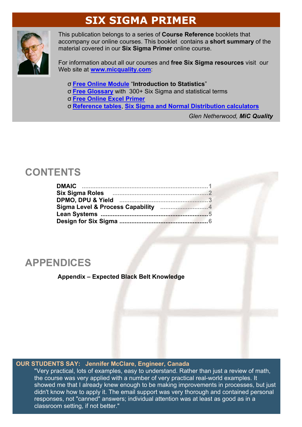### **SIX SIGMA PRIMER**



This publication belongs to a series of **Course Reference** booklets that accompany our online courses. This booklet contains a **short summary** of the material covered in our **Six Sigma Primer** online course.

For information about all our courses and **free Six Sigma resources** visit our Web site at **www.micquality.com**:

- σ **Free Online Module** "**Introduction to Statistics**"
- σ **Free Glossary** with 300+ Six Sigma and statistical terms
- σ **Free Online Excel Primer**
- σ **Reference tables**, **Six Sigma and Normal Distribution calculators**

*Glen Netherwood, MiC Quality*

### **CONTENTS**

### **APPENDICES**

**Appendix – Expected Black Belt Knowledge** 

**OUR STUDENTS SAY: Jennifer McClare, Engineer, Canada** 

2 Copyright 2007 Microsoft 2007 Microsoft 2007 Microsoft www.microsoft 2007 Microsoft 2007 Microsoft 2007 Microsoft 2007 Microsoft 2007 Microsoft 2007 Microsoft 2007 Microsoft 2007 Microsoft 2007 Microsoft 2007 Microsoft 2 "Very practical, lots of examples, easy to understand. Rather than just a review of math, the course was very applied with a number of very practical real-world examples. It showed me that I already knew enough to be making improvements in processes, but just didn't know how to apply it. The email support was very thorough and contained personal responses, not "canned" answers; individual attention was at least as good as in a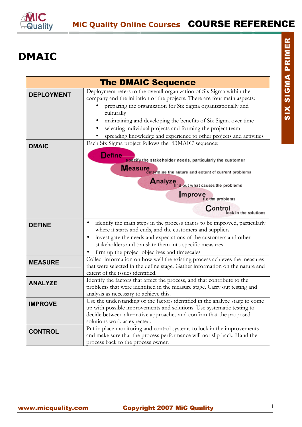

### **DMAIC**

|                   | <b>The DMAIC Sequence</b>                                                                                                                                                                                                                                                                                                                                                                                                               |
|-------------------|-----------------------------------------------------------------------------------------------------------------------------------------------------------------------------------------------------------------------------------------------------------------------------------------------------------------------------------------------------------------------------------------------------------------------------------------|
| <b>DEPLOYMENT</b> | Deployment refers to the overall organization of Six Sigma within the<br>company and the initiation of the projects. There are four main aspects:<br>preparing the organization for Six Sigma organizationally and<br>culturally<br>maintaining and developing the benefits of Six Sigma over time<br>selecting individual projects and forming the project team<br>spreading knowledge and experience to other projects and activities |
| <b>DMAIC</b>      | Each Six Sigma project follows the 'DMAIC' sequence:<br>Define specify the stakeholder needs, particularly the customer<br>Measure<br><b>Measure</b><br>determine the nature and extent of current problems                                                                                                                                                                                                                             |
|                   | Analyze find out what causes the problems<br>Improve fix the problems                                                                                                                                                                                                                                                                                                                                                                   |
|                   | <b>Control</b><br>Control lock in the solutions                                                                                                                                                                                                                                                                                                                                                                                         |
| <b>DEFINE</b>     | identify the main steps in the process that is to be improved, particularly<br>$\bullet$<br>where it starts and ends, and the customers and suppliers<br>investigate the needs and expectations of the customers and other<br>stakeholders and translate them into specific measures<br>firm up the project objectives and timescales                                                                                                   |
| <b>MEASURE</b>    | Collect information on how well the existing process achieves the measures<br>that were selected in the define stage. Gather information on the nature and<br>extent of the issues identified.                                                                                                                                                                                                                                          |
| <b>ANALYZE</b>    | Identify the factors that affect the process, and that contribute to the<br>problems that were identified in the measure stage. Carry out testing and<br>analysis as necessary to achieve this.                                                                                                                                                                                                                                         |
| <b>IMPROVE</b>    | Use the understanding of the factors identified in the analyze stage to come<br>up with possible improvements and solutions. Use systematic testing to<br>decide between alternative approaches and confirm that the proposed<br>solutions work as expected.                                                                                                                                                                            |
| <b>CONTROL</b>    | Put in place monitoring and control systems to lock in the improvements<br>and make sure that the process performance will not slip back. Hand the<br>process back to the process owner.                                                                                                                                                                                                                                                |

SIX SIGMA PRIMER

SIX SIGMA PRIMER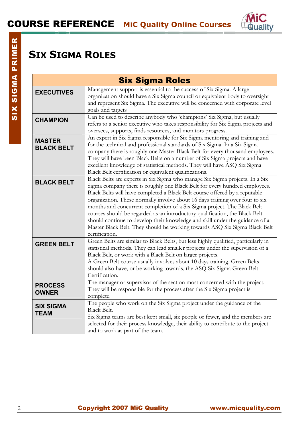### COURSE REFERENCE **MiC Quality Online Courses**



### **SIX SIGMA ROLES**

|                                    | <b>Six Sigma Roles</b>                                                                                                                                                                                                                                                                                                                                                                                                                                                                                                                                                                                                                                             |
|------------------------------------|--------------------------------------------------------------------------------------------------------------------------------------------------------------------------------------------------------------------------------------------------------------------------------------------------------------------------------------------------------------------------------------------------------------------------------------------------------------------------------------------------------------------------------------------------------------------------------------------------------------------------------------------------------------------|
| <b>EXECUTIVES</b>                  | Management support is essential to the success of Six Sigma. A large<br>organization should have a Six Sigma council or equivalent body to oversight<br>and represent Six Sigma. The executive will be concerned with corporate level<br>goals and targets                                                                                                                                                                                                                                                                                                                                                                                                         |
| <b>CHAMPION</b>                    | Can be used to describe anybody who 'champions' Six Sigma, but usually<br>refers to a senior executive who takes responsibility for Six Sigma projects and<br>oversees, supports, finds resources, and monitors progress.                                                                                                                                                                                                                                                                                                                                                                                                                                          |
| <b>MASTER</b><br><b>BLACK BELT</b> | An expert in Six Sigma responsible for Six Sigma mentoring and training and<br>for the technical and professional standards of Six Sigma. In a Six Sigma<br>company there is roughly one Master Black Belt for every thousand employees.<br>They will have been Black Belts on a number of Six Sigma projects and have<br>excellent knowledge of statistical methods. They will have ASQ Six Sigma<br>Black Belt certification or equivalent qualifications.                                                                                                                                                                                                       |
| <b>BLACK BELT</b>                  | Black Belts are experts in Six Sigma who manage Six Sigma projects. In a Six<br>Sigma company there is roughly one Black Belt for every hundred employees.<br>Black Belts will have completed a Black Belt course offered by a reputable<br>organization. These normally involve about 16 days training over four to six<br>months and concurrent completion of a Six Sigma project. The Black Belt<br>courses should be regarded as an introductory qualification, the Black Belt<br>should continue to develop their knowledge and skill under the guidance of a<br>Master Black Belt. They should be working towards ASQ Six Sigma Black Belt<br>certification. |
| <b>GREEN BELT</b>                  | Green Belts are similar to Black Belts, but less highly qualified, particularly in<br>statistical methods. They can lead smaller projects under the supervision of a<br>Black Belt, or work with a Black Belt on larger projects.<br>A Green Belt course usually involves about 10 days training. Green Belts<br>should also have, or be working towards, the ASQ Six Sigma Green Belt<br>Certification.                                                                                                                                                                                                                                                           |
| <b>PROCESS</b><br><b>OWNER</b>     | The manager or supervisor of the section most concerned with the project.<br>They will be responsible for the process after the Six Sigma project is<br>complete.                                                                                                                                                                                                                                                                                                                                                                                                                                                                                                  |
| <b>SIX SIGMA</b><br><b>TEAM</b>    | The people who work on the Six Sigma project under the guidance of the<br><b>Black Belt.</b><br>Six Sigma teams are best kept small, six people or fewer, and the members are<br>selected for their process knowledge, their ability to contribute to the project<br>and to work as part of the team.                                                                                                                                                                                                                                                                                                                                                              |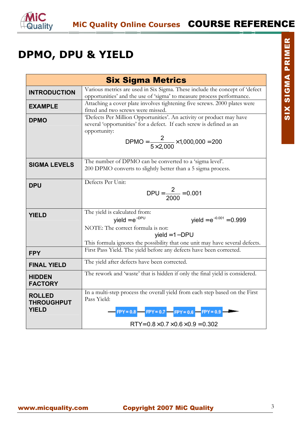

### **DPMO, DPU & YIELD**

|                                                    | <b>Six Sigma Metrics</b>                                                                                                                                                                                                      |
|----------------------------------------------------|-------------------------------------------------------------------------------------------------------------------------------------------------------------------------------------------------------------------------------|
| <b>INTRODUCTION</b>                                | Various metrics are used in Six Sigma. These include the concept of 'defect<br>opportunities' and the use of 'sigma' to measure process performance.                                                                          |
| <b>EXAMPLE</b>                                     | Attaching a cover plate involves tightening five screws. 2000 plates were<br>fitted and two screws were missed.                                                                                                               |
| <b>DPMO</b>                                        | 'Defects Per Million Opportunities'. An activity or product may have<br>several 'opportunities' for a defect. If each screw is defined as an<br>opportunity:<br>DPMO = $\frac{2}{5 \times 2.000} \times 1,000,000 = 200$      |
| <b>SIGMA LEVELS</b>                                | The number of DPMO can be converted to a 'sigma level'.<br>200 DPMO converts to slightly better than a 5 sigma process.                                                                                                       |
| <b>DPU</b>                                         | Defects Per Unit:<br>$DPU = \frac{2}{2000} = 0.001$                                                                                                                                                                           |
| <b>YIELD</b>                                       | The yield is calculated from:<br>yield = $e^{-0.001} = 0.999$<br>$yield = e^{-DPU}$<br>NOTE: The correct formula is not:<br>$yield = 1 - DPU$<br>This formula ignores the possibility that one unit may have several defects. |
| <b>FPY</b>                                         | First Pass Yield. The yield before any defects have been corrected.                                                                                                                                                           |
| <b>FINAL YIELD</b>                                 | The yield after defects have been corrected.                                                                                                                                                                                  |
| <b>HIDDEN</b><br><b>FACTORY</b>                    | The rework and 'waste' that is hidden if only the final yield is considered.                                                                                                                                                  |
| <b>ROLLED</b><br><b>THROUGHPUT</b><br><b>YIELD</b> | In a multi-step process the overall yield from each step based on the First<br>Pass Yield:<br>$FPY = 0.8$ $FPY = 0.7$ $FPY = 0.6$ $FPY = 0.9$<br>$RTY = 0.8 \times 0.7 \times 0.6 \times 0.9 = 0.302$                         |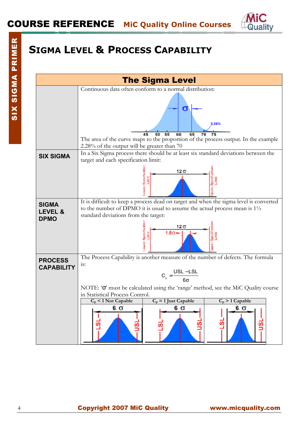

### **SIGMA LEVEL & PROCESS CAPABILITY**

|                   | <b>The Sigma Level</b>                                                                                                                |
|-------------------|---------------------------------------------------------------------------------------------------------------------------------------|
|                   | Continuous data often conform to a normal distribution:                                                                               |
|                   | 2.28%<br>60<br>65<br>70<br>75<br>50<br>55<br>45<br>The area of the curve maps to the proportion of the process output. In the example |
|                   | 2.28% of the output will be greater than 70                                                                                           |
| <b>SIX SIGMA</b>  | In a Six Sigma process there should be at least six standard deviations between the<br>target and each specification limit:           |
|                   | $12\sigma$                                                                                                                            |
| <b>SIGMA</b>      | It is difficult to keep a process dead on target and when the sigma level is converted                                                |
| LEVEL &           | to the number of DPMO it is usual to assume the actual process mean is $1\frac{1}{2}$                                                 |
| <b>DPMO</b>       | standard deviations from the target:                                                                                                  |
|                   | 1.50                                                                                                                                  |
| <b>PROCESS</b>    | The Process Capability is another measure of the number of defects. The formula                                                       |
| <b>CAPABILITY</b> | 1S:                                                                                                                                   |
|                   | $C_p = \frac{USL - LSL}{6\sigma}$                                                                                                     |
|                   | NOTE: 'σ' must be calculated using the 'range' method, see the MiC Quality course                                                     |
|                   | in Statistical Process Control.                                                                                                       |
|                   | $C_p = 1$ Just Capable<br>$C_p > 1$ Capable<br>$C_p < 1$ Not Capable                                                                  |
|                   | 6 σ<br>6 σ<br>6 σ<br>ຮ່<br>σ<br>gu<br>g                                                                                               |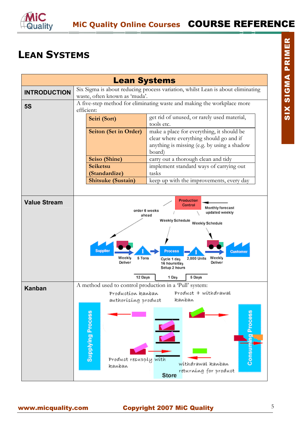

### **LEAN SYSTEMS**

|                     |                                                                                                                                                                    | <b>Lean Systems</b>                                                                                                                                                                                                                                                     |
|---------------------|--------------------------------------------------------------------------------------------------------------------------------------------------------------------|-------------------------------------------------------------------------------------------------------------------------------------------------------------------------------------------------------------------------------------------------------------------------|
| <b>INTRODUCTION</b> |                                                                                                                                                                    | Six Sigma is about reducing process variation, whilst Lean is about eliminating                                                                                                                                                                                         |
| <b>5S</b>           | waste, often known as 'muda'.<br>A five-step method for eliminating waste and making the workplace more<br>efficient:                                              |                                                                                                                                                                                                                                                                         |
|                     | Seiri (Sort)                                                                                                                                                       | get rid of unused, or rarely used material,<br>tools etc.                                                                                                                                                                                                               |
|                     | <b>Seiton (Set in Order)</b>                                                                                                                                       | make a place for everything, it should be<br>clear where everything should go and if<br>anything is missing (e.g. by using a shadow<br>board)                                                                                                                           |
|                     | Seiso (Shine)                                                                                                                                                      | carry out a thorough clean and tidy                                                                                                                                                                                                                                     |
|                     | Seiketsu<br>(Standardize)                                                                                                                                          | implement standard ways of carrying out<br>tasks                                                                                                                                                                                                                        |
|                     | <b>Shitsuke (Sustain)</b>                                                                                                                                          | keep up with the improvements, every day                                                                                                                                                                                                                                |
|                     |                                                                                                                                                                    |                                                                                                                                                                                                                                                                         |
| <b>Value Stream</b> | <b>Supplier</b><br>Weekly<br>Deliver                                                                                                                               | Control<br>Monthly forecast<br>order 6 weeks<br>updated weekly<br>ahead<br>Weekly Schedule<br>Weekly Schedule<br>Process<br><b>Customer</b><br>5 Tons<br>Weekly<br>2,000 Units<br>Cycle 1 day<br>Deliver<br>16 hours/day<br>Setup 2 hours<br>12 Days<br>5 Days<br>1 Day |
| <b>Kanban</b>       | A method used to control production in a 'Pull' system:<br>Production kanban<br>authorísíng product<br><b>Supplying Process</b><br>Product resupply with<br>kanban | Product + withdrawal<br>kanban<br>Ing Process<br>Consu<br>withdrawal kanban<br>returning for product<br><b>Store</b>                                                                                                                                                    |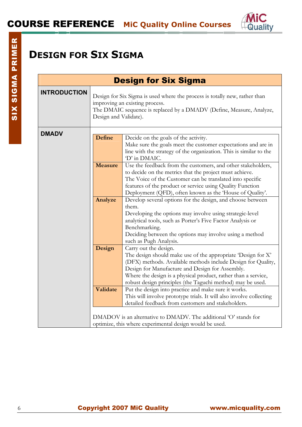

### **DESIGN FOR SIX SIGMA**

|                     |                       | <b>Design for Six Sigma</b>                                                                                                                                                                                                                                                                                                              |
|---------------------|-----------------------|------------------------------------------------------------------------------------------------------------------------------------------------------------------------------------------------------------------------------------------------------------------------------------------------------------------------------------------|
| <b>INTRODUCTION</b> | Design and Validate). | Design for Six Sigma is used where the process is totally new, rather than<br>improving an existing process.<br>The DMAIC sequence is replaced by a DMADV (Define, Measure, Analyze,                                                                                                                                                     |
| <b>DMADV</b>        | <b>Define</b>         | Decide on the goals of the activity.<br>Make sure the goals meet the customer expectations and are in<br>line with the strategy of the organization. This is similar to the<br>'D' in DMAIC.                                                                                                                                             |
|                     | <b>Measure</b>        | Use the feedback from the customers, and other stakeholders,<br>to decide on the metrics that the project must achieve.<br>The Voice of the Customer can be translated into specific<br>features of the product or service using Quality Function<br>Deployment (QFD), often known as the 'House of Quality'.                            |
|                     | Analyze               | Develop several options for the design, and choose between<br>them.<br>Developing the options may involve using strategic-level<br>analytical tools, such as Porter's Five Factor Analysis or<br>Benchmarking.<br>Deciding between the options may involve using a method<br>such as Pugh Analysis.                                      |
|                     | Design                | Carry out the design.<br>The design should make use of the appropriate 'Design for X'<br>(DFX) methods. Available methods include Design for Quality,<br>Design for Manufacture and Design for Assembly.<br>Where the design is a physical product, rather than a service,<br>robust design principles (the Taguchi method) may be used. |
|                     | Validate              | Put the design into practice and make sure it works.<br>This will involve prototype trials. It will also involve collecting<br>detailed feedback from customers and stakeholders.<br>DMADOV is an alternative to DMADV. The additional 'O' stands for<br>optimize, this where experimental design would be used.                         |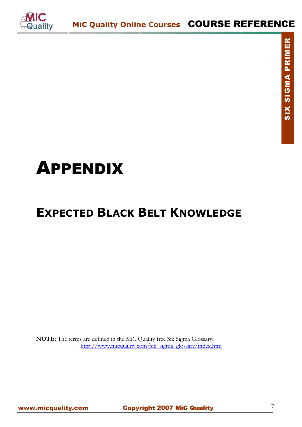

## APPENDIX

### **EXPECTED BLACK BELT KNOWLEDGE**

**NOTE**: The terms are defined in the MiC Quality free Six Sigma Glossary: http://www.micquality.com/six\_sigma\_glossary/index.htm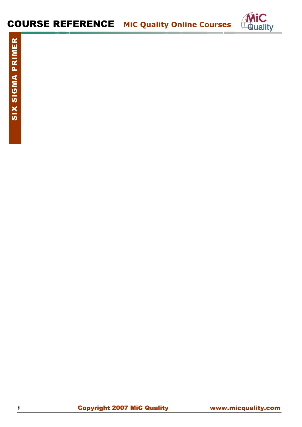



8 Copyright 2007 MiC Quality www.micquality.com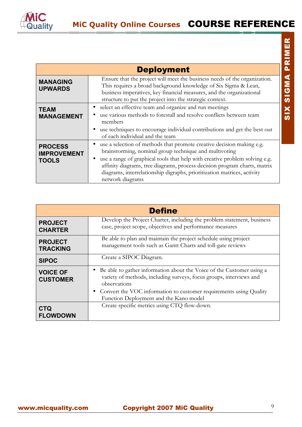

|                                                      | <b>Deployment</b>                                                                                                                                                                                                                                                                                                                                                                          |
|------------------------------------------------------|--------------------------------------------------------------------------------------------------------------------------------------------------------------------------------------------------------------------------------------------------------------------------------------------------------------------------------------------------------------------------------------------|
| <b>MANAGING</b><br><b>UPWARDS</b>                    | Ensure that the project will meet the business needs of the organization.<br>This requires a broad background knowledge of Six Sigma & Lean,<br>business imperatives, key financial measures, and the organizational<br>structure to put the project into the strategic context.                                                                                                           |
| <b>TEAM</b><br><b>MANAGEMENT</b>                     | select an effective team and organize and run meetings<br>use various methods to forestall and resolve conflicts between team<br>members<br>• use techniques to encourage individual contributions and get the best out<br>of each individual and the team                                                                                                                                 |
| <b>PROCESS</b><br><b>IMPROVEMENT</b><br><b>TOOLS</b> | use a selection of methods that promote creative decision making e.g.<br>brainstorming, nominal group technique and multivoting<br>use a range of graphical tools that help with creative problem solving e.g.<br>affinity diagrams, tree diagrams, process decision program charts, matrix<br>diagrams, interrelationship digraphs, prioritization matrices, activity<br>network diagrams |

|                                    | <b>Define</b>                                                                                                                                                |
|------------------------------------|--------------------------------------------------------------------------------------------------------------------------------------------------------------|
| <b>PROJECT</b><br><b>CHARTER</b>   | Develop the Project Charter, including the problem statement, business<br>case, project scope, objectives and performance measures                           |
| <b>PROJECT</b><br><b>TRACKING</b>  | Be able to plan and maintain the project schedule using project<br>management tools such as Gantt Charts and toll-gate reviews                               |
| <b>SIPOC</b>                       | Create a SIPOC Diagram.                                                                                                                                      |
| <b>VOICE OF</b><br><b>CUSTOMER</b> | Be able to gather information about the Voice of the Customer using a<br>variety of methods, including surveys, focus groups, interviews and<br>observations |
|                                    | • Convert the VOC information to customer requirements using Quality<br>Function Deployment and the Kano model                                               |
| <b>CTQ</b><br><b>FLOWDOWN</b>      | Create specific metrics using CTQ flow-down.                                                                                                                 |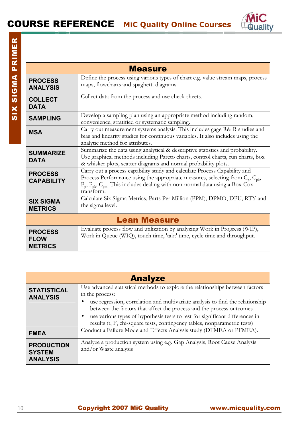### COURSE REFERENCE **MiC Quality Online Courses**



SIX SIGMA PRIMER SIX SIGMA PRIMER

| <b>Measure</b>                                  |                                                                                                                                                                                                                                                                              |  |
|-------------------------------------------------|------------------------------------------------------------------------------------------------------------------------------------------------------------------------------------------------------------------------------------------------------------------------------|--|
| <b>PROCESS</b><br><b>ANALYSIS</b>               | Define the process using various types of chart e.g. value stream maps, process<br>maps, flowcharts and spaghetti diagrams.                                                                                                                                                  |  |
| <b>COLLECT</b><br><b>DATA</b>                   | Collect data from the process and use check sheets.                                                                                                                                                                                                                          |  |
| <b>SAMPLING</b>                                 | Develop a sampling plan using an appropriate method including random,<br>convenience, stratified or systematic sampling.                                                                                                                                                     |  |
| <b>MSA</b>                                      | Carry out measurement systems analysis. This includes gage R& R studies and<br>bias and linearity studies for continuous variables. It also includes using the<br>analytic method for attributes.                                                                            |  |
| <b>SUMMARIZE</b><br><b>DATA</b>                 | Summarize the data using analytical & descriptive statistics and probability.<br>Use graphical methods including Pareto charts, control charts, run charts, box<br>& whisker plots, scatter diagrams and normal probability plots.                                           |  |
| <b>PROCESS</b><br><b>CAPABILITY</b>             | Carry out a process capability study and calculate Process Capability and<br>Process Performance using the appropriate measures, selecting from $C_p$ , $C_{pk}$ ,<br>$P_p$ , $P_{pk}$ , $C_{pm}$ . This includes dealing with non-normal data using a Box-Cox<br>transform. |  |
| <b>SIX SIGMA</b><br><b>METRICS</b>              | Calculate Six Sigma Metrics, Parts Per Million (PPM), DPMO, DPU, RTY and<br>the sigma level.                                                                                                                                                                                 |  |
| <b>Lean Measure</b>                             |                                                                                                                                                                                                                                                                              |  |
| <b>PROCESS</b><br><b>FLOW</b><br><b>METRICS</b> | Evaluate process flow and utilization by analyzing Work in Progress (WIP),<br>Work in Queue (WIQ), touch time, 'takt' time, cycle time and throughput.                                                                                                                       |  |

|                                                       | <b>Analyze</b>                                                                                                                                                                                                                                                                                                                             |
|-------------------------------------------------------|--------------------------------------------------------------------------------------------------------------------------------------------------------------------------------------------------------------------------------------------------------------------------------------------------------------------------------------------|
| <b>STATISTICAL</b><br><b>ANALYSIS</b>                 | Use advanced statistical methods to explore the relationships between factors<br>in the process:<br>use regression, correlation and multivariate analysis to find the relationship<br>between the factors that affect the process and the process outcomes<br>use various types of hypothesis tests to test for significant differences in |
|                                                       | results (t, F, chi-square tests, contingency tables, nonparametric tests)                                                                                                                                                                                                                                                                  |
| <b>FMEA</b>                                           | Conduct a Failure Mode and Effects Analysis study (DFMEA or PFMEA).                                                                                                                                                                                                                                                                        |
| <b>PRODUCTION</b><br><b>SYSTEM</b><br><b>ANALYSIS</b> | Analyze a production system using e.g. Gap Analysis, Root Cause Analysis<br>and/or Waste analysis                                                                                                                                                                                                                                          |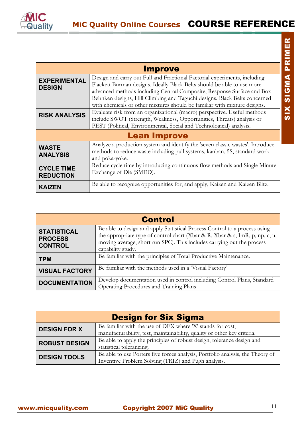

| Ω.          |
|-------------|
|             |
|             |
| l           |
| í           |
| ٦           |
| í<br>I<br>ī |
|             |
| ľ<br>đ      |
|             |
| ĺ           |
| ľ           |
| I           |
| ľ<br>r      |
| ľ           |
| ſ           |
| ľ           |
|             |

| <b>Improve</b>                        |                                                                                                                                                                                                                                                                                                                                                                                          |  |
|---------------------------------------|------------------------------------------------------------------------------------------------------------------------------------------------------------------------------------------------------------------------------------------------------------------------------------------------------------------------------------------------------------------------------------------|--|
| <b>EXPERIMENTAL</b><br><b>DESIGN</b>  | Design and carry out Full and Fractional Factorial experiments, including<br>Plackett Burman designs. Ideally Black Belts should be able to use more<br>advanced methods including Central Composite, Response Surface and Box<br>Behnken designs, Hill Climbing and Taguchi designs. Black Belts concerned<br>with chemicals or other mixtures should be familiar with mixture designs. |  |
| <b>RISK ANALYSIS</b>                  | Evaluate risk from an organizational (macro) perspective. Useful methods<br>include SWOT (Strength, Weakness, Opportunities, Threats) analysis or<br>PEST (Political, Environmental, Social and Technological) analysis.                                                                                                                                                                 |  |
| <b>Lean Improve</b>                   |                                                                                                                                                                                                                                                                                                                                                                                          |  |
| <b>WASTE</b><br><b>ANALYSIS</b>       | Analyze a production system and identify the 'seven classic wastes'. Introduce<br>methods to reduce waste including pull systems, kanban, 5S, standard work<br>and poka-yoke.                                                                                                                                                                                                            |  |
| <b>CYCLE TIME</b><br><b>REDUCTION</b> | Reduce cycle time by introducing continuous flow methods and Single Minute<br>Exchange of Die (SMED).                                                                                                                                                                                                                                                                                    |  |
| <b>KAIZEN</b>                         | Be able to recognize opportunities for, and apply, Kaizen and Kaizen Blitz.                                                                                                                                                                                                                                                                                                              |  |

| <b>Control</b>                                         |                                                                                                                                                                                                                                                                                                                               |
|--------------------------------------------------------|-------------------------------------------------------------------------------------------------------------------------------------------------------------------------------------------------------------------------------------------------------------------------------------------------------------------------------|
| <b>STATISTICAL</b><br><b>PROCESS</b><br><b>CONTROL</b> | Be able to design and apply Statistical Process Control to a process using<br>the appropriate type of control chart (Xbar & R, Xbar & s, ImR, p, np, c, u,<br>moving average, short run SPC). This includes carrying out the process<br>capability study.<br>Be familiar with the principles of Total Productive Maintenance. |
| <b>TPM</b>                                             |                                                                                                                                                                                                                                                                                                                               |
| <b>VISUAL FACTORY</b>                                  | Be familiar with the methods used in a 'Visual Factory'                                                                                                                                                                                                                                                                       |
| <b>DOCUMENTATION</b>                                   | Develop documentation used in control including Control Plans, Standard<br>Operating Procedures and Training Plans                                                                                                                                                                                                            |

| <b>Design for Six Sigma</b> |                                                                                |  |
|-----------------------------|--------------------------------------------------------------------------------|--|
| <b>DESIGN FOR X</b>         | Be familiar with the use of DFX where 'X' stands for cost,                     |  |
|                             | manufacturability, test, maintainability, quality or other key criteria.       |  |
| <b>ROBUST DESIGN</b>        | Be able to apply the principles of robust design, tolerance design and         |  |
|                             | statistical tolerancing.                                                       |  |
| <b>DESIGN TOOLS</b>         | Be able to use Porters five forces analysis, Portfolio analysis, the Theory of |  |
|                             | Inventive Problem Solving (TRIZ) and Pugh analysis.                            |  |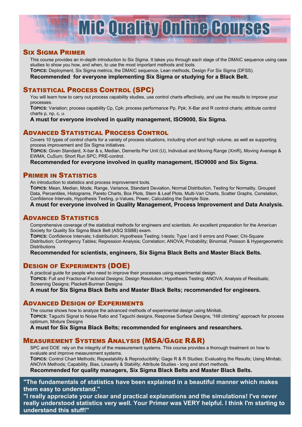

#### SIX SIGMA PRIMER

This course provides an in-depth introduction to Six Sigma. It takes you through each stage of the DMAIC sequence using case studies to show you how, and when, to use the most important methods and tools.

**TOPICS:** Deployment, Six Sigma metrics, the DMAIC sequence, Lean methods, Design For Six Sigma (DFSS).

#### **Recommended for everyone implementing Six Sigma or studying for a Black Belt.**

#### STATISTICAL PROCESS CONTROL (SPC)

You will learn how to carry out process capability studies, use control charts effectively, and use the results to improve your processes.

**TOPICS:** Variation; process capability Cp, Cpk; process performance Pp, Ppk; X-Bar and R control charts; attribute control charts p, np, c, u.

**A must for everyone involved in quality management, ISO9000, Six Sigma.**

#### ADVANCED STATISTICAL PROCESS CONTROL

Covers 10 types of control charts for a variety of process situations, including short and high volume, as well as supporting process improvement and Six Sigma initiatives.

**TOPICS:** Given Standard, X-bar & s, Median, Demerits Per Unit (U), Individual and Moving Range (XmR), Moving Average & EWMA, CuSum; Short Run SPC; PRE-control.

**Recommended for everyone involved in quality management, ISO9000 and Six Sigma.**

#### PRIMER IN STATISTICS

An introduction to statistics and process improvement tools.

**TOPICS:** Mean, Median, Mode, Range, Variance, Standard Deviation, Normal Distribution, Testing for Normality, Grouped Data, Percentiles, Histograms, Pareto Charts, Box Plots, Stem & Leaf Plots, Multi-Vari Charts, Scatter Graphs, Correlation, Confidence Intervals, Hypothesis Testing, p-Values, Power, Calculating the Sample Size.

**A must for everyone involved in Quality Management, Process Improvement and Data Analysis.**

#### ADVANCED STATISTICS

Comprehensive coverage of the statistical methods for engineers and scientists. An excellent preparation for the American Society for Quality Six Sigma Black Belt (ASQ SSBB) exam.

**TOPICS:** Confidence Intervals; t-distribution; Hypothesis Testing; t-tests; Type I and II errors and Power; Chi-Square Distribution; Contingency Tables; Regression Analysis; Correlation; ANOVA; Probability; Binomial, Poisson & Hypergeometric Distributions

**Recommended for scientists, engineers, Six Sigma Black Belts and Master Black Belts.**

#### DESIGN OF EXPERIMENTS (DOE)

A practical guide for people who need to improve their processes using experimental design. **TOPICS:** Full and Fractional Factorial Designs; Design Resolution; Hypothesis Testing; ANOVA; Analysis of Residuals; Screening Designs; Plackett-Burman Designs

**A must for Six Sigma Black Belts and Master Black Belts; recommended for engineers.**

#### ADVANCED DESIGN OF EXPERIMENTS

The course shows how to analyze the advanced methods of experimental design using Minitab. **TOPICS:** Taguchi Signal to Noise Ratio and Taguchi designs, Response Surface Designs, "Hill climbing" approach for process optimum, Mixture Designs

**A must for Six Sigma Black Belts; recommended for engineers and researchers.** 

#### MEASUREMENT SYSTEMS ANALYSIS (MSA/GAGE R&R)

SPC and DOE rely on the integrity of the measurement systems. This course provides a thorough treatment on how to evaluate and improve measurement systems.

**TOPICS:** Control Chart Methods; Repeatability & Reproducibility; Gage R & R Studies; Evaluating the Results; Using Minitab; ANOVA Methods; Capability, Bias, Linearity & Stability; Attribute Studies - long and short methods.

**Recommended for quality managers, Six Sigma Black Belts and Master Black Belts.**

#### **"The fundamentals of statistics have been explained in a beautiful manner which makes them easy to understand."**

**"I really appreciate your clear and practical explanations and the simulations! I've never really understood statistics very well. Your Primer was VERY helpful. I think I'm starting to understand this stuff!"**